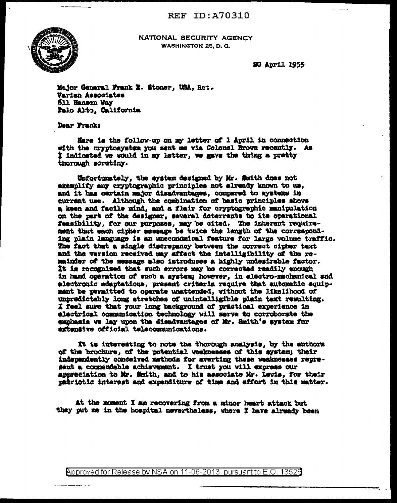

NATIONAL SECURITY AGENCY **WASHINGTON 25. D. C.** 

20 April 1955

Major General Frank E. Stoner, USA, Ret. Varian Associates 611 Hansen Way Falo Alto, California

Dear Frank:

Here is the follow-up on my letter of 1 April in connection with the cryptosystem you sent me via Colonel Brown recently. As I indicated we would in my latter, we gave the thing a pretty thorough scrutiny.

Unfortunately, the system designed by Mr. Smith does not exemplify any cryptographic principles not already known to us, and it has certain major disadvantages, compared to systems in current use. Although the combination of basic principles shows a keen and facile mind, and a flair for cryptographic manipulation on the part of the designer, meveral deterrents to its operational feasibility, for our purposes, may be cited. The inherent requirement that each cipher message be twice the length of the corresponding plain language is an uneconomical feature for large volume traffic. The fact that a single discrepancy between the correct cipher text and the version received may affect the intelligibility of the remainder of the message also introduces a highly undesirable factor. It is recognised that such errors may be corrected readily enough in hand operation of such a system; however, in electro-mechanical and electronic adaptations, present criteria require that automatic equipmant be permitted to operate unattended, without the likelihood of unpredictably long stretches of unintelligible plain text resulting. I feel sure that your long background of practical experience in electrical communication technology will serve to corroborate the emphasis we lay upon the disadvantages of Mr. Smith's system for artensive official telecommunications.

It is interesting to note the thorough analysis, by the authors of the brochure, of the potential weaknesses of this system; their independently conceived methods for averting these veaknesses represent a commendable achievement. I trust you will express our appreciation to Mr. Smith, and to his associate Mr. Levis, for their patriotic interest and expenditure of time and effort in this matter.

At the moment I am recovering from a minor heart attack but they put me in the hospital nevertheless. where I have already been

Approved for Release by NSA on 11-06-2013 pursuant to E.O. 13526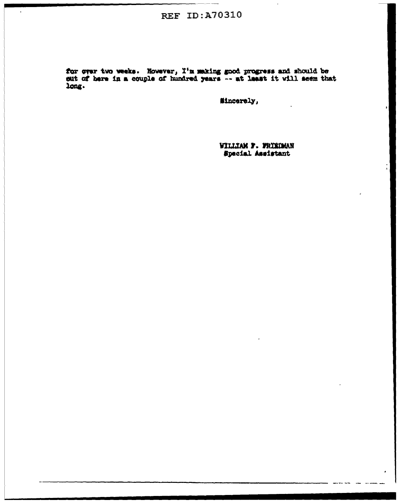## **REF ID:A70310**

t.

for over two weeks. However, I'm making good progress and should be sut of here in a couple of hundred years -- at least it will seem that long.

Mincerely,

WILLIAM F. FRIEDMAN Special Assistant